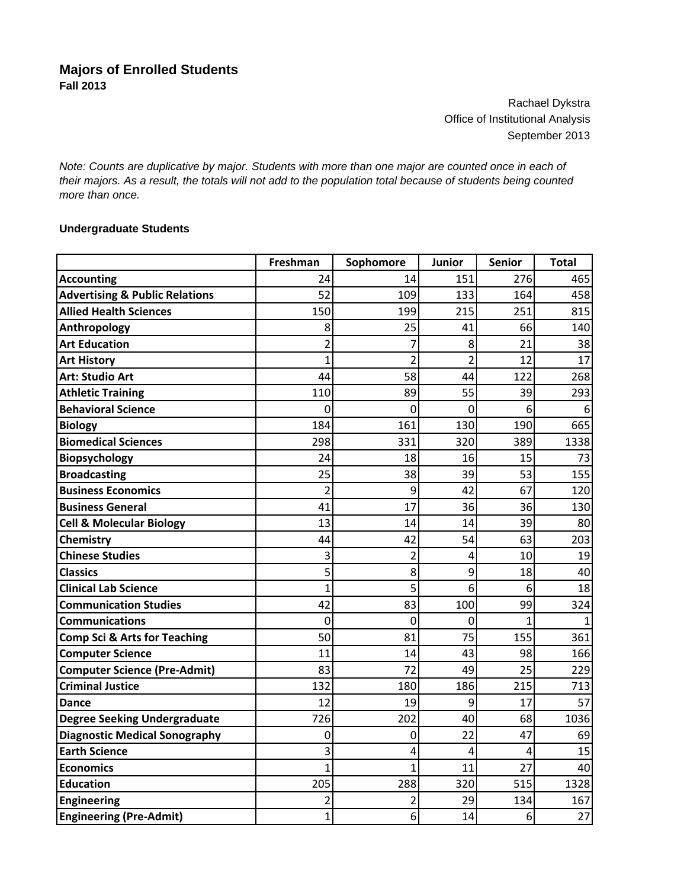Rachael Dykstra Office of Institutional Analysis September 2013

*Note: Counts are duplicative by major. Students with more than one major are counted once in each of their majors. As a result, the totals will not add to the population total because of students being counted more than once.*

## **Undergraduate Students**

|                                           | Freshman       | Sophomore      | <b>Junior</b>  | <b>Senior</b> | <b>Total</b> |
|-------------------------------------------|----------------|----------------|----------------|---------------|--------------|
| <b>Accounting</b>                         | 24             | 14             | 151            | 276           | 465          |
| <b>Advertising &amp; Public Relations</b> | 52             | 109            | 133            | 164           | 458          |
| <b>Allied Health Sciences</b>             | 150            | 199            | 215            | 251           | 815          |
| Anthropology                              | 8              | 25             | 41             | 66            | 140          |
| <b>Art Education</b>                      | $\overline{2}$ | 7              | 8              | 21            | 38           |
| <b>Art History</b>                        | 1              | $\overline{2}$ | $\overline{2}$ | 12            | 17           |
| <b>Art: Studio Art</b>                    | 44             | 58             | 44             | 122           | 268          |
| <b>Athletic Training</b>                  | 110            | 89             | 55             | 39            | 293          |
| <b>Behavioral Science</b>                 | 0              | 0              | 0              | 6             | 6            |
| <b>Biology</b>                            | 184            | 161            | 130            | 190           | 665          |
| <b>Biomedical Sciences</b>                | 298            | 331            | 320            | 389           | 1338         |
| Biopsychology                             | 24             | 18             | 16             | 15            | 73           |
| <b>Broadcasting</b>                       | 25             | 38             | 39             | 53            | 155          |
| <b>Business Economics</b>                 | $\overline{2}$ | 9              | 42             | 67            | 120          |
| <b>Business General</b>                   | 41             | 17             | 36             | 36            | 130          |
| <b>Cell &amp; Molecular Biology</b>       | 13             | 14             | 14             | 39            | 80           |
| Chemistry                                 | 44             | 42             | 54             | 63            | 203          |
| <b>Chinese Studies</b>                    | 3              | $\overline{2}$ | 4              | 10            | 19           |
| <b>Classics</b>                           | 5              | 8              | 9              | 18            | 40           |
| <b>Clinical Lab Science</b>               | 1              | 5              | 6              | 6             | 18           |
| <b>Communication Studies</b>              | 42             | 83             | 100            | 99            | 324          |
| <b>Communications</b>                     | 0              | 0              | 0              | 1             | 1            |
| <b>Comp Sci &amp; Arts for Teaching</b>   | 50             | 81             | 75             | 155           | 361          |
| <b>Computer Science</b>                   | 11             | 14             | 43             | 98            | 166          |
| <b>Computer Science (Pre-Admit)</b>       | 83             | 72             | 49             | 25            | 229          |
| <b>Criminal Justice</b>                   | 132            | 180            | 186            | 215           | 713          |
| Dance                                     | 12             | 19             | 9              | 17            | 57           |
| <b>Degree Seeking Undergraduate</b>       | 726            | 202            | 40             | 68            | 1036         |
| <b>Diagnostic Medical Sonography</b>      | 0              | 0              | 22             | 47            | 69           |
| <b>Earth Science</b>                      | 3              | 4              | 4              | 4             | 15           |
| <b>Economics</b>                          | $\mathbf{1}$   | $\mathbf{1}$   | 11             | 27            | 40           |
| <b>Education</b>                          | 205            | 288            | 320            | 515           | 1328         |
| <b>Engineering</b>                        | 2              | $\overline{2}$ | 29             | 134           | 167          |
| <b>Engineering (Pre-Admit)</b>            | $\mathbf{1}$   | 6              | 14             | 6             | 27           |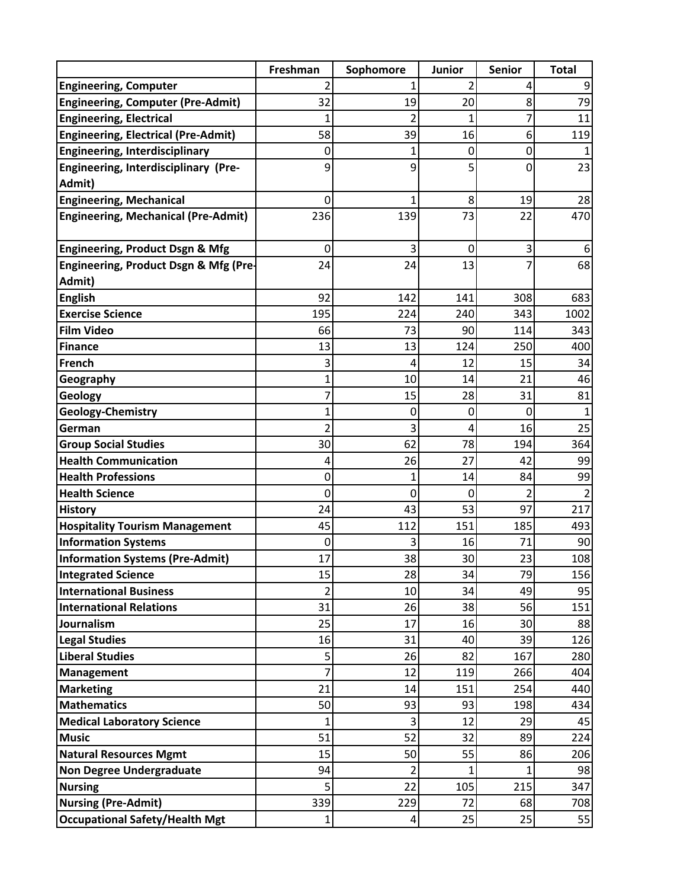|                                                            | Freshman       | Sophomore | <b>Junior</b> | <b>Senior</b> | <b>Total</b> |
|------------------------------------------------------------|----------------|-----------|---------------|---------------|--------------|
| <b>Engineering, Computer</b>                               |                |           |               | 4             | 9            |
| <b>Engineering, Computer (Pre-Admit)</b>                   | 32             | 19        | 20            | 8             | 79           |
| <b>Engineering, Electrical</b>                             | 1              |           |               |               | 11           |
| <b>Engineering, Electrical (Pre-Admit)</b>                 | 58             | 39        | 16            | 6             | 119          |
| <b>Engineering, Interdisciplinary</b>                      | 0              |           | 0             | 0             |              |
| Engineering, Interdisciplinary (Pre-                       | 9              | 9         | 5             | 0             | 23           |
| Admit)                                                     |                |           |               |               |              |
| <b>Engineering, Mechanical</b>                             | 0              | 1         | 8             | 19            | 28           |
| <b>Engineering, Mechanical (Pre-Admit)</b>                 | 236            | 139       | 73            | 22            | 470          |
|                                                            |                |           |               |               |              |
| <b>Engineering, Product Dsgn &amp; Mfg</b>                 | 0              | 3         | 0             | 3             | 6            |
| Engineering, Product Dsgn & Mfg (Pre-                      | 24             | 24        | 13            |               | 68           |
| Admit)                                                     |                |           |               |               |              |
| <b>English</b>                                             | 92             | 142       | 141           | 308           | 683          |
| <b>Exercise Science</b>                                    | 195            | 224       | 240           | 343           | 1002         |
| <b>Film Video</b>                                          | 66             | 73        | 90            | 114           | 343          |
| <b>Finance</b>                                             | 13             | 13        | 124           | 250           | 400          |
| French                                                     | 3              | 4         | 12            | 15            | 34           |
| Geography                                                  | 1              | 10        | 14            | 21            | 46           |
| Geology                                                    |                | 15        | 28            | 31            | 81           |
| <b>Geology-Chemistry</b>                                   | 1              | 0         | 0             | 0             |              |
| German                                                     | 2              | 3<br>62   | 4<br>78       | 16<br>194     | 25<br>364    |
| <b>Group Social Studies</b><br><b>Health Communication</b> | 30<br>4        | 26        | 27            | 42            |              |
| <b>Health Professions</b>                                  | 0              | 1         | 14            | 84            | 99<br>99     |
| <b>Health Science</b>                                      | 0              | 0         | 0             |               |              |
| <b>History</b>                                             | 24             | 43        | 53            | 97            | 217          |
| <b>Hospitality Tourism Management</b>                      | 45             | 112       | 151           | 185           | 493          |
| <b>Information Systems</b>                                 | 0              |           | 16            | 71            | 90           |
| <b>Information Systems (Pre-Admit)</b>                     | 17             | 38        | 30            | 23            | 108          |
| <b>Integrated Science</b>                                  | 15             | 28        | 34            | 79            | 156          |
| <b>International Business</b>                              | 2              | 10        | 34            | 49            | 95           |
| <b>International Relations</b>                             | 31             | 26        | 38            | 56            | 151          |
| Journalism                                                 | 25             | 17        | 16            | 30            | 88           |
| <b>Legal Studies</b>                                       | 16             | 31        | 40            | 39            | 126          |
| <b>Liberal Studies</b>                                     | 5              | 26        | 82            | 167           | 280          |
| Management                                                 | $\overline{7}$ | 12        | 119           | 266           | 404          |
| <b>Marketing</b>                                           | 21             | 14        | 151           | 254           | 440          |
| <b>Mathematics</b>                                         | 50             | 93        | 93            | 198           | 434          |
| <b>Medical Laboratory Science</b>                          | 1              | 3         | 12            | 29            | 45           |
| <b>Music</b>                                               | 51             | 52        | 32            | 89            | 224          |
| <b>Natural Resources Mgmt</b>                              | 15             | 50        | 55            | 86            | 206          |
| <b>Non Degree Undergraduate</b>                            | 94             | 2         |               |               | 98           |
| <b>Nursing</b>                                             | 5              | 22        | 105           | 215           | 347          |
| <b>Nursing (Pre-Admit)</b>                                 | 339            | 229       | 72            | 68            | 708          |
| <b>Occupational Safety/Health Mgt</b>                      | $\mathbf{1}$   | 4         | 25            | 25            | 55           |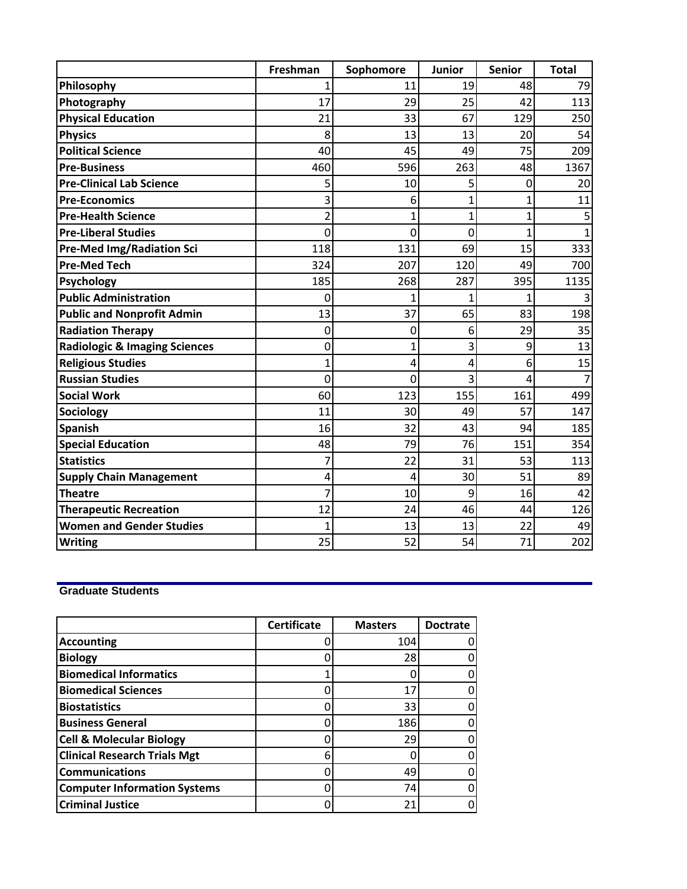|                                          | Freshman | Sophomore | <b>Junior</b> | <b>Senior</b> | <b>Total</b> |
|------------------------------------------|----------|-----------|---------------|---------------|--------------|
| Philosophy                               |          | 11        | 19            | 48            | 79           |
| Photography                              | 17       | 29        | 25            | 42            | 113          |
| <b>Physical Education</b>                | 21       | 33        | 67            | 129           | 250          |
| <b>Physics</b>                           | 8        | 13        | 13            | 20            | 54           |
| <b>Political Science</b>                 | 40       | 45        | 49            | 75            | 209          |
| <b>Pre-Business</b>                      | 460      | 596       | 263           | 48            | 1367         |
| <b>Pre-Clinical Lab Science</b>          | 5        | 10        | 5             | 0             | 20           |
| <b>Pre-Economics</b>                     | 3        | 6         | 1             | 1             | 11           |
| <b>Pre-Health Science</b>                | 2        | 1         | 1             | 1             |              |
| <b>Pre-Liberal Studies</b>               | 0        | 0         | 0             | 1             |              |
| <b>Pre-Med Img/Radiation Sci</b>         | 118      | 131       | 69            | 15            | 333          |
| <b>Pre-Med Tech</b>                      | 324      | 207       | 120           | 49            | 700          |
| Psychology                               | 185      | 268       | 287           | 395           | 1135         |
| <b>Public Administration</b>             | 0        |           |               |               |              |
| <b>Public and Nonprofit Admin</b>        | 13       | 37        | 65            | 83            | 198          |
| <b>Radiation Therapy</b>                 | $\Omega$ | 0         | 6             | 29            | 35           |
| <b>Radiologic &amp; Imaging Sciences</b> | 0        | 1         | 3             | 9             | 13           |
| <b>Religious Studies</b>                 | 1        | 4         | 4             | 6             | 15           |
| <b>Russian Studies</b>                   | 0        | 0         | 3             | 4             |              |
| <b>Social Work</b>                       | 60       | 123       | 155           | 161           | 499          |
| <b>Sociology</b>                         | 11       | 30        | 49            | 57            | 147          |
| <b>Spanish</b>                           | 16       | 32        | 43            | 94            | 185          |
| <b>Special Education</b>                 | 48       | 79        | 76            | 151           | 354          |
| <b>Statistics</b>                        | 7        | 22        | 31            | 53            | 113          |
| <b>Supply Chain Management</b>           | 4        | 4         | 30            | 51            | 89           |
| <b>Theatre</b>                           | 7        | 10        | 9             | 16            | 42           |
| <b>Therapeutic Recreation</b>            | 12       | 24        | 46            | 44            | 126          |
| <b>Women and Gender Studies</b>          | 1        | 13        | 13            | 22            | 49           |
| <b>Writing</b>                           | 25       | 52        | 54            | 71            | 202          |

## **Graduate Students**

|                                     | <b>Certificate</b> | <b>Masters</b> | <b>Doctrate</b> |
|-------------------------------------|--------------------|----------------|-----------------|
| <b>Accounting</b>                   |                    | 104            |                 |
| <b>Biology</b>                      |                    | 28             |                 |
| <b>Biomedical Informatics</b>       |                    |                |                 |
| <b>Biomedical Sciences</b>          |                    | 17             |                 |
| <b>Biostatistics</b>                |                    | 33             |                 |
| <b>Business General</b>             |                    | 186            |                 |
| <b>Cell &amp; Molecular Biology</b> |                    | 29             |                 |
| <b>Clinical Research Trials Mgt</b> | 6                  |                |                 |
| <b>Communications</b>               |                    | 49             |                 |
| <b>Computer Information Systems</b> |                    | 74             |                 |
| <b>Criminal Justice</b>             |                    | 21             |                 |